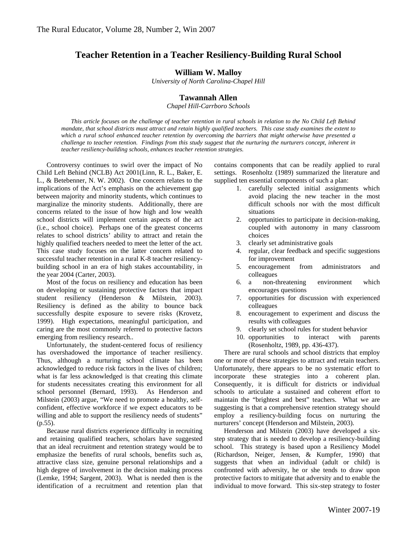# **Teacher Retention in a Teacher Resiliency-Building Rural School**

## **William W. Malloy**

*University of North Carolina-Chapel Hill* 

## **Tawannah Allen**

*Chapel Hill-Carrboro Schools*

*This article focuses on the challenge of teacher retention in rural schools in relation to the No Child Left Behind mandate, that school districts must attract and retain highly qualified teachers. This case study examines the extent to which a rural school enhanced teacher retention by overcoming the barriers that might otherwise have presented a challenge to teacher retention. Findings from this study suggest that the nurturing the nurturers concept, inherent in teacher resiliency-building schools, enhances teacher retention strategies.*

Controversy continues to swirl over the impact of No Child Left Behind (NCLB) Act 2001(Linn, R. L., Baker, E. L., & Betebenner, N. W. 2002). One concern relates to the implications of the Act's emphasis on the achievement gap between majority and minority students, which continues to marginalize the minority students. Additionally, there are concerns related to the issue of how high and low wealth school districts will implement certain aspects of the act (i.e., school choice). Perhaps one of the greatest concerns relates to school districts' ability to attract and retain the highly qualified teachers needed to meet the letter of the act. This case study focuses on the latter concern related to successful teacher retention in a rural K-8 teacher resiliencybuilding school in an era of high stakes accountability, in the year 2004 (Carter, 2003).

Most of the focus on resiliency and education has been on developing or sustaining protective factors that impact student resiliency (Henderson & Milstein, 2003). Resiliency is defined as the ability to bounce back successfully despite exposure to severe risks (Krovetz, 1999). High expectations, meaningful participation, and caring are the most commonly referred to protective factors emerging from resiliency research..

Unfortunately, the student-centered focus of resiliency has overshadowed the importance of teacher resiliency. Thus, although a nurturing school climate has been acknowledged to reduce risk factors in the lives of children; what is far less acknowledged is that creating this climate for students necessitates creating this environment for all school personnel (Bernard, 1993). As Henderson and Milstein (2003) argue, "We need to promote a healthy, selfconfident, effective workforce if we expect educators to be willing and able to support the resiliency needs of students"  $(p.55)$ .

Because rural districts experience difficulty in recruiting and retaining qualified teachers, scholars have suggested that an ideal recruitment and retention strategy would be to emphasize the benefits of rural schools, benefits such as, attractive class size, genuine personal relationships and a high degree of involvement in the decision making process (Lemke, 1994; Sargent, 2003). What is needed then is the identification of a recruitment and retention plan that

contains components that can be readily applied to rural settings. Rosenholtz (1989) summarized the literature and supplied ten essential components of such a plan:

- 1. carefully selected initial assignments which avoid placing the new teacher in the most difficult schools nor with the most difficult situations
- 2. opportunities to participate in decision-making, coupled with autonomy in many classroom choices
- 3. clearly set administrative goals
- 4. regular, clear feedback and specific suggestions for improvement
- 5. encouragement from administrators and colleagues
- 6. a non-threatening environment which encourages questions
- 7. opportunities for discussion with experienced colleagues
- 8. encouragement to experiment and discuss the results with colleagues
- 9. clearly set school rules for student behavior
- 10. opportunities to interact with parents (Rosenholtz, 1989, pp. 436-437).

There are rural schools and school districts that employ one or more of these strategies to attract and retain teachers. Unfortunately, there appears to be no systematic effort to incorporate these strategies into a coherent plan. Consequently, it is difficult for districts or individual schools to articulate a sustained and coherent effort to maintain the "brightest and best" teachers. What we are suggesting is that a comprehensive retention strategy should employ a resiliency-building focus on nurturing the nurturers' concept (Henderson and Milstein, 2003).

Henderson and Milstein (2003) have developed a sixstep strategy that is needed to develop a resiliency-building school. This strategy is based upon a Resiliency Model (Richardson, Neiger, Jensen, & Kumpfer, 1990) that suggests that when an individual (adult or child) is confronted with adversity, he or she tends to draw upon protective factors to mitigate that adversity and to enable the individual to move forward. This six-step strategy to foster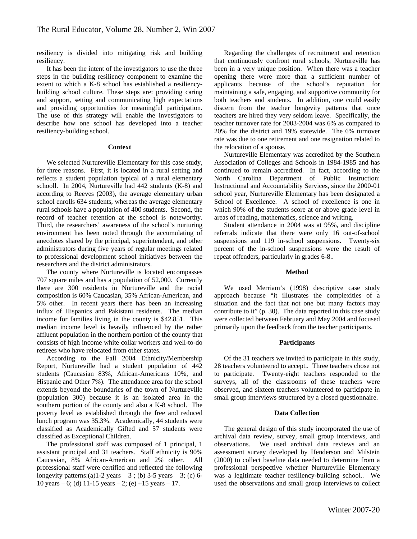resiliency is divided into mitigating risk and building resiliency.

It has been the intent of the investigators to use the three steps in the building resiliency component to examine the extent to which a K-8 school has established a resiliencybuilding school culture. These steps are: providing caring and support, setting and communicating high expectations and providing opportunities for meaningful participation. The use of this strategy will enable the investigators to describe how one school has developed into a teacher resiliency-building school.

#### **Context**

We selected Nurtureville Elementary for this case study, for three reasons. First, it is located in a rural setting and reflects a student population typical of a rural elementary schooll. In 2004, Nurtureville had 442 students (K-8) and according to Reeves (2003), the average elementary urban school enrolls 634 students, whereas the average elementary rural schools have a population of 400 students. Second, the record of teacher retention at the school is noteworthy. Third, the researchers' awareness of the school's nurturing environment has been noted through the accumulating of anecdotes shared by the principal, superintendent, and other administrators during five years of regular meetings related to professional development school initiatives between the researchers and the district administrators.

The county where Nurtureville is located encompasses 707 square miles and has a population of 52,000. Currently there are 300 residents in Nurtureville and the racial composition is 60% Caucasian, 35% African-American, and 5% other. In recent years there has been an increasing influx of Hispanics and Pakistani residents. The median income for families living in the county is \$42.851. This median income level is heavily influenced by the rather affluent population in the northern portion of the county that consists of high income white collar workers and well-to-do retirees who have relocated from other states.

According to the Fall 2004 Ethnicity/Membership Report, Nurtureville had a student population of 442 students (Caucasian 83%, African-Americans 10%, and Hispanic and Other 7%). The attendance area for the school extends beyond the boundaries of the town of Nurtureville (population 300) because it is an isolated area in the southern portion of the county and also a K-8 school. The poverty level as established through the free and reduced lunch program was 35.3%. Academically, 44 students were classified as Academically Gifted and 57 students were classified as Exceptional Children.

The professional staff was composed of 1 principal, 1 assistant principal and 31 teachers. Staff ethnicity is 90% Caucasian, 8% African-American and 2% other. All professional staff were certified and reflected the following longevity patterns:(a)1-2 years  $-3$ ; (b) 3-5 years  $-3$ ; (c) 6-10 years – 6; (d) 11-15 years – 2; (e) +15 years – 17.

Regarding the challenges of recruitment and retention that continuously confront rural schools, Nurtureville has been in a very unique position. When there was a teacher opening there were more than a sufficient number of applicants because of the school's reputation for maintaining a safe, engaging, and supportive community for both teachers and students. In addition, one could easily discern from the teacher longevity patterns that once teachers are hired they very seldom leave. Specifically, the teacher turnover rate for 2003-2004 was 6% as compared to 20% for the district and 19% statewide. The 6% turnover rate was due to one retirement and one resignation related to the relocation of a spouse.

Nurtureville Elementary was accredited by the Southern Association of Colleges and Schools in 1984-1985 and has continued to remain accredited. In fact, according to the North Carolina Department of Public Instruction: Instructional and Accountability Services, since the 2000-01 school year, Nurtureville Elementary has been designated a School of Excellence. A school of excellence is one in which 90% of the students score at or above grade level in areas of reading, mathematics, science and writing.

Student attendance in 2004 was at 95%, and discipline referrals indicate that there were only 16 out-of-school suspensions and 119 in-school suspensions. Twenty-six percent of the in-school suspensions were the result of repeat offenders, particularly in grades 6-8..

#### **Method**

We used Merriam's (1998) descriptive case study approach because "it illustrates the complexities of a situation and the fact that not one but many factors may contribute to it" (p. 30). The data reported in this case study were collected between February and May 2004 and focused primarily upon the feedback from the teacher participants.

#### **Participants**

Of the 31 teachers we invited to participate in this study, 28 teachers volunteered to accept.. Three teachers chose not to participate. Twenty-eight teachers responded to the surveys, all of the classrooms of these teachers were observed, and sixteen teachers volunteered to participate in small group interviews structured by a closed questionnaire.

#### **Data Collection**

The general design of this study incorporated the use of archival data review, survey, small group interviews, and observations. We used archival data reviews and an assessment survey developed by Henderson and Milstein (2000) to collect baseline data needed to determine from a professional perspective whether Nurtureville Elementary was a legitimate teacher resiliency-building school.. We used the observations and small group interviews to collect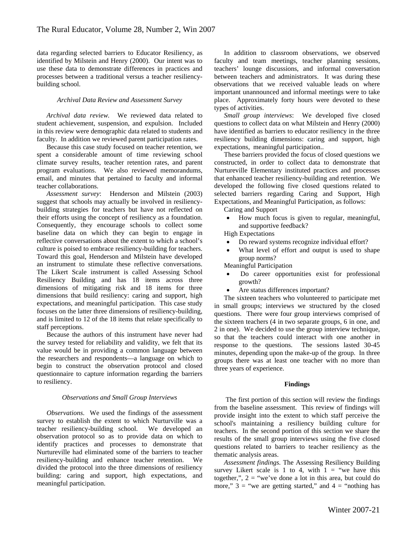data regarding selected barriers to Educator Resiliency, as identified by Milstein and Henry (2000). Our intent was to use these data to demonstrate differences in practices and processes between a traditional versus a teacher resiliencybuilding school.

#### *Archival Data Review and Assessment Survey*

*Archival data review.* We reviewed data related to student achievement, suspension, and expulsion. Included in this review were demographic data related to students and faculty. In addition we reviewed parent participation rates.

Because this case study focused on teacher retention, we spent a considerable amount of time reviewing school climate survey results, teacher retention rates, and parent program evaluations. We also reviewed memorandums, email, and minutes that pertained to faculty and informal teacher collaborations.

*Assessment survey*: Henderson and Milstein (2003) suggest that schools may actually be involved in resiliencybuilding strategies for teachers but have not reflected on their efforts using the concept of resiliency as a foundation. Consequently, they encourage schools to collect some baseline data on which they can begin to engage in reflective conversations about the extent to which a school's culture is poised to embrace resiliency-building for teachers. Toward this goal, Henderson and Milstein have developed an instrument to stimulate these reflective conversations. The Likert Scale instrument is called Assessing School Resiliency Building and has 18 items across three dimensions of mitigating risk and 18 items for three dimensions that build resiliency: caring and support, high expectations, and meaningful participation. This case study focuses on the latter three dimensions of resiliency-building, and is limited to 12 of the 18 items that relate specifically to staff perceptions.

Because the authors of this instrument have never had the survey tested for reliability and validity, we felt that its value would be in providing a common language between the researchers and respondents—a language on which to begin to construct the observation protocol and closed questionnaire to capture information regarding the barriers to resiliency.

#### *Observations and Small Group Interviews*

*Observations*. We used the findings of the assessment survey to establish the extent to which Nurturville was a teacher resiliency-building school. We developed an observation protocol so as to provide data on which to identify practices and processes to demonstrate that Nurtureville had eliminated some of the barriers to teacher resiliency-building and enhance teacher retention. We divided the protocol into the three dimensions of resiliency building: caring and support, high expectations, and meaningful participation.

In addition to classroom observations, we observed faculty and team meetings, teacher planning sessions, teachers' lounge discussions, and informal conversation between teachers and administrators. It was during these observations that we received valuable leads on where important unannounced and informal meetings were to take place. Approximately forty hours were devoted to these types of activities.

*Small group interviews*: We developed five closed questions to collect data on what Milstein and Henry (2000) have identified as barriers to educator resiliency in the three resiliency building dimensions: caring and support, high expectations, meaningful participation..

These barriers provided the focus of closed questions we constructed, in order to collect data to demonstrate that Nurtureville Elementary instituted practices and processes that enhanced teacher resiliency-building and retention. We developed the following five closed questions related to selected barriers regarding Caring and Support, High Expectations, and Meaningful Participation, as follows:

Caring and Support

• How much focus is given to regular, meaningful, and supportive feedback?

High Expectations

- Do reward systems recognize individual effort?
- What level of effort and output is used to shape group norms?

Meaningful Participation

- Do career opportunities exist for professional growth?
- Are status differences important?

The sixteen teachers who volunteered to participate met in small groups; interviews we structured by the closed questions. There were four group interviews comprised of the sixteen teachers (4 in two separate groups, 6 in one, and 2 in one). We decided to use the group interview technique, so that the teachers could interact with one another in response to the questions. The sessions lasted 30-45 minutes, depending upon the make-up of the group. In three groups there was at least one teacher with no more than three years of experience.

## **Findings**

The first portion of this section will review the findings from the baseline assessment. This review of findings will provide insight into the extent to which staff perceive the school's maintaining a resiliency building culture for teachers. In the second portion of this section we share the results of the small group interviews using the five closed questions related to barriers to teacher resiliency as the thematic analysis areas.

*Assessment findings.* The Assessing Resiliency Building survey Likert scale is 1 to 4, with  $1 =$  "we have this together,",  $2 =$  "we've done a lot in this area, but could do more,"  $3 =$  "we are getting started," and  $4 =$  "nothing has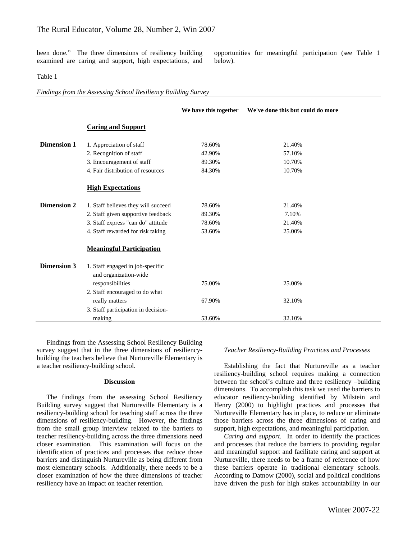been done." The three dimensions of resiliency building examined are caring and support, high expectations, and opportunities for meaningful participation (see Table 1 below).

#### Table 1

*Findings from the Assessing School Resiliency Building Survey* 

|                    |                                                           | We have this together | We've done this but could do more |
|--------------------|-----------------------------------------------------------|-----------------------|-----------------------------------|
|                    | <b>Caring and Support</b>                                 |                       |                                   |
| <b>Dimension 1</b> | 1. Appreciation of staff                                  | 78.60%                | 21.40%                            |
|                    | 2. Recognition of staff                                   | 42.90%                | 57.10%                            |
|                    | 3. Encouragement of staff                                 | 89.30%                | 10.70%                            |
|                    | 4. Fair distribution of resources                         | 84.30%                | 10.70%                            |
|                    | <b>High Expectations</b>                                  |                       |                                   |
| <b>Dimension 2</b> | 1. Staff believes they will succeed                       | 78.60%                | 21.40%                            |
|                    | 2. Staff given supportive feedback                        | 89.30%                | 7.10%                             |
|                    | 3. Staff express "can do" attitude                        | 78.60%                | 21.40%                            |
|                    | 4. Staff rewarded for risk taking                         | 53.60%                | 25.00%                            |
|                    | <b>Meaningful Participation</b>                           |                       |                                   |
| <b>Dimension 3</b> | 1. Staff engaged in job-specific<br>and organization-wide |                       |                                   |
|                    | responsibilities                                          | 75.00%                | 25.00%                            |
|                    | 2. Staff encouraged to do what                            |                       |                                   |
|                    | really matters                                            | 67.90%                | 32.10%                            |
|                    | 3. Staff participation in decision-                       |                       |                                   |
|                    | making                                                    | 53.60%                | 32.10%                            |

Findings from the Assessing School Resiliency Building survey suggest that in the three dimensions of resiliencybuilding the teachers believe that Nurtureville Elementary is a teacher resiliency-building school.

## **Discussion**

The findings from the assessing School Resiliency Building survey suggest that Nurtureville Elementary is a resiliency-building school for teaching staff across the three dimensions of resiliency-building. However, the findings from the small group interview related to the barriers to teacher resiliency-building across the three dimensions need closer examination. This examination will focus on the identification of practices and processes that reduce those barriers and distinguish Nurtureville as being different from most elementary schools. Additionally, there needs to be a closer examination of how the three dimensions of teacher resiliency have an impact on teacher retention.

#### *Teacher Resiliency-Building Practices and Processes*

Establishing the fact that Nurtureville as a teacher resiliency-building school requires making a connection between the school's culture and three resiliency –building dimensions. To accomplish this task we used the barriers to educator resiliency-building identified by Milstein and Henry (2000) to highlight practices and processes that Nurtureville Elementary has in place, to reduce or eliminate those barriers across the three dimensions of caring and support, high expectations, and meaningful participation.

*Caring and support*. In order to identify the practices and processes that reduce the barriers to providing regular and meaningful support and facilitate caring and support at Nurtureville, there needs to be a frame of reference of how these barriers operate in traditional elementary schools. According to Datnow (2000), social and political conditions have driven the push for high stakes accountability in our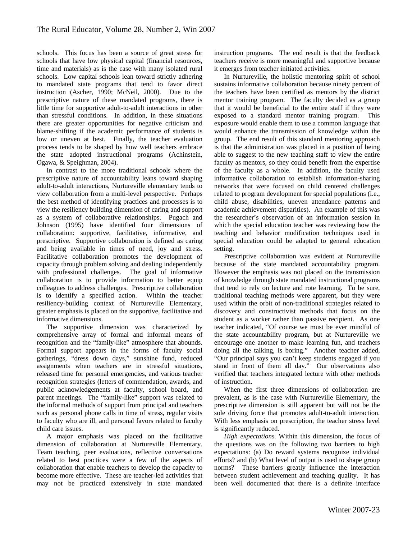schools. This focus has been a source of great stress for schools that have low physical capital (financial resources, time and materials) as is the case with many isolated rural schools. Low capital schools lean toward strictly adhering to mandated state programs that tend to favor direct instruction (Ascher, 1990; McNeil, 2000). Due to the prescriptive nature of these mandated programs, there is little time for supportive adult-to-adult interactions in other than stressful conditions. In addition, in these situations there are greater opportunities for negative criticism and blame-shifting if the academic performance of students is low or uneven at best. Finally, the teacher evaluation process tends to be shaped by how well teachers embrace the state adopted instructional programs (Achinstein, Ogawa, & Speighman, 2004).

In contrast to the more traditional schools where the prescriptive nature of accountability leans toward shaping adult-to-adult interactions, Nurtureville elementary tends to view collaboration from a multi-level perspective. Perhaps the best method of identifying practices and processes is to view the resiliency building dimension of caring and support as a system of collaborative relationships. Pugach and Johnson (1995) have identified four dimensions of collaboration: supportive, facilitative, informative, and prescriptive. Supportive collaboration is defined as caring and being available in times of need, joy and stress. Facilitative collaboration promotes the development of capacity through problem solving and dealing independently with professional challenges. The goal of informative collaboration is to provide information to better equip colleagues to address challenges. Prescriptive collaboration is to identify a specified action. Within the teacher resiliency-building context of Nurtureville Elementary, greater emphasis is placed on the supportive, facilitative and informative dimensions.

The supportive dimension was characterized by comprehensive array of formal and informal means of recognition and the "family-like" atmosphere that abounds. Formal support appears in the forms of faculty social gatherings, "dress down days," sunshine fund, reduced assignments when teachers are in stressful situations, released time for personal emergencies, and various teacher recognition strategies (letters of commendation, awards, and public acknowledgements at faculty, school board, and parent meetings. The "family-like" support was related to the informal methods of support from principal and teachers such as personal phone calls in time of stress, regular visits to faculty who are ill, and personal favors related to faculty child care issues.

A major emphasis was placed on the facilitative dimension of collaboration at Nurtureville Elementary. Team teaching, peer evaluations, reflective conversations related to best practices were a few of the aspects of collaboration that enable teachers to develop the capacity to become more effective. These are teacher-led activities that may not be practiced extensively in state mandated

instruction programs. The end result is that the feedback teachers receive is more meaningful and supportive because it emerges from teacher initiated activities.

In Nurtureville, the holistic mentoring spirit of school sustains informative collaboration because ninety percent of the teachers have been certified as mentors by the district mentor training program. The faculty decided as a group that it would be beneficial to the entire staff if they were exposed to a standard mentor training program. This exposure would enable them to use a common language that would enhance the transmission of knowledge within the group. The end result of this standard mentoring approach is that the administration was placed in a position of being able to suggest to the new teaching staff to view the entire faculty as mentors, so they could benefit from the expertise of the faculty as a whole. In addition, the faculty used informative collaboration to establish information-sharing networks that were focused on child centered challenges related to program development for special populations (i.e., child abuse, disabilities, uneven attendance patterns and academic achievement disparities). An example of this was the researcher's observation of an information session in which the special education teacher was reviewing how the teaching and behavior modification techniques used in special education could be adapted to general education setting.

Prescriptive collaboration was evident at Nurtureville because of the state mandated accountability program. However the emphasis was not placed on the transmission of knowledge through state mandated instructional programs that tend to rely on lecture and rote learning. To be sure, traditional teaching methods were apparent, but they were used within the orbit of non-traditional strategies related to discovery and constructivist methods that focus on the student as a worker rather than passive recipient. As one teacher indicated, "Of course we must be ever mindful of the state accountability program, but at Nurtureville we encourage one another to make learning fun, and teachers doing all the talking, is boring." Another teacher added, "Our principal says you can't keep students engaged if you stand in front of them all day." Our observations also verified that teachers integrated lecture with other methods of instruction.

When the first three dimensions of collaboration are prevalent, as is the case with Nurtureville Elementary, the prescriptive dimension is still apparent but will not be the sole driving force that promotes adult-to-adult interaction. With less emphasis on prescription, the teacher stress level is significantly reduced.

*High expectations.* Within this dimension, the focus of the questions was on the following two barriers to high expectations: (a) Do reward systems recognize individual efforts? and (b) What level of output is used to shape group norms? These barriers greatly influence the interaction between student achievement and teaching quality. It has been well documented that there is a definite interface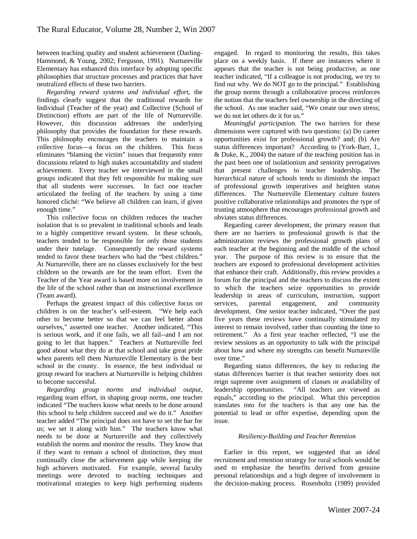between teaching quality and student achievement (Darling-Hammond, & Young, 2002; Ferguson, 1991). Nurtureville Elementary has enhanced this interface by adopting specific philosophies that structure processes and practices that have neutralized effects of these two barriers.

*Regarding reward systems and individual effort*, the findings clearly suggest that the traditional rewards for Individual (Teacher of the year) and Collective (School of Distinction) efforts are part of the life of Nurtureville. However, this discussion addresses the underlying philosophy that provides the foundation for these rewards. This philosophy encourages the teachers to maintain a collective focus—a focus on the children. This focus eliminates "blaming the victim" issues that frequently enter discussions related to high stakes accountability and student achievement. Every teacher we interviewed in the small groups indicated that they felt responsible for making sure that all students were successes. In fact one teacher articulated the feeling of the teachers by using a time honored cliché: "We believe all children can learn, if given enough time."

This collective focus on children reduces the teacher isolation that is so prevalent in traditional schools and leads to a highly competitive reward system. In these schools, teachers tended to be responsible for only those students under their tutelage. Consequently the reward systems tended to favor these teachers who had the "best children." At Nurtureville, there are no classes exclusively for the best children so the rewards are for the team effort. Even the Teacher of the Year award is based more on involvement in the life of the school rather than on instructional excellence (Team award).

Perhaps the greatest impact of this collective focus on children is on the teacher's self-esteem. "We help each other to become better so that we can feel better about ourselves," asserted one teacher. Another indicated, "This is serious work, and if one fails, we all fail--and I am not going to let that happen." Teachers at Nurtureville feel good about what they do at that school and take great pride when parents tell them Nurtureville Elementary is the best school in the county. In essence, the best individual or group reward for teachers at Nurtureville is helping children to become successful.

*Regarding group norms and individual output,* regarding team effort, in shaping group norms, one teacher indicated "The teachers know what needs to be done around this school to help children succeed and we do it." Another teacher added "The principal does not have to set the bar for us; we set it along with him." The teachers know what needs to be done at Nurtureville and they collectively establish the norms and monitor the results. They know that if they want to remain a school of distinction, they must continually close the achievement gap while keeping the high achievers motivated. For example, several faculty meetings were devoted to teaching techniques and motivational strategies to keep high performing students

engaged. In regard to monitoring the results, this takes place on a weekly basis. If there are instances where it appears that the teacher is not being productive, as one teacher indicated, "If a colleague is not producing, we try to find out why. We do NOT go to the principal." Establishing the group norms through a collaborative process reinforces the notion that the teachers feel ownership in the directing of the school. As one teacher said, "We create our own stress; we do not let others do it for us."

*Meaningful participation.* The two barriers for these dimensions were captured with two questions: (a) Do career opportunities exist for professional growth? and; (b) Are status differences important? According to (York-Barr, J., & Duke, K., 2004) the nature of the teaching position has in the past been one of isolationism and seniority prerogatives that present challenges to teacher leadership. The hierarchical nature of schools tends to diminish the impact of professional growth imperatives and heighten status differences. The Nurtureville Elementary culture fosters positive collaborative relationships and promotes the type of trusting atmosphere that encourages professional growth and obviates status differences.

Regarding career development, the primary reason that there are no barriers to professional growth is that the administration reviews the professional growth plans of each teacher at the beginning and the middle of the school year. The purpose of this review is to ensure that the teachers are exposed to professional development activities that enhance their craft. Additionally, this review provides a forum for the principal and the teachers to discuss the extent to which the teachers seize opportunities to provide leadership in areas of curriculum, instruction, support services, parental engagement, and community development. One senior teacher indicated, "Over the past five years these reviews have continually stimulated my interest to remain involved, rather than counting the time to retirement." As a first year teacher reflected, "I use the review sessions as an opportunity to talk with the principal about how and where my strengths can benefit Nurtureville over time."

Regarding status differences, the key to reducing the status differences barrier is that teacher seniority does not reign supreme over assignment of classes or availability of leadership opportunities. "All teachers are viewed as equals," according to the principal. What this perception translates into for the teachers is that any one has the potential to lead or offer expertise, depending upon the issue.

## *Resiliency-Building and Teacher Retention*

Earlier in this report, we suggested that an ideal recruitment and retention strategy for rural schools would be used to emphasize the benefits derived from genuine personal relationships and a high degree of involvement in the decision-making process. Rosenholtz (1989) provided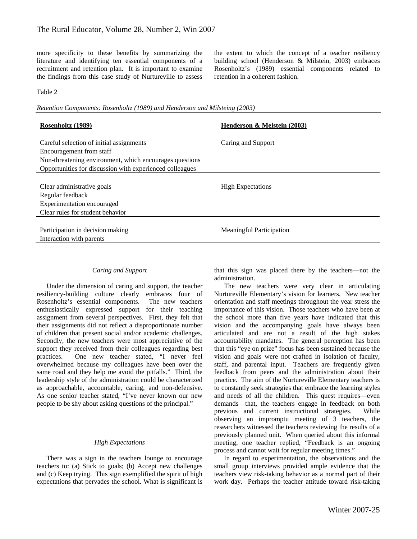more specificity to these benefits by summarizing the literature and identifying ten essential components of a recruitment and retention plan. It is important to examine the findings from this case study of Nurtureville to assess

the extent to which the concept of a teacher resiliency building school (Henderson & Milstein, 2003) embraces Rosenholtz's (1989) essential components related to retention in a coherent fashion.

## Table 2

*Retention Components: Rosenholtz (1989) and Henderson and Milsteing (2003)* 

| Rosenholtz (1989)                                        | Henderson & Melstein (2003)     |  |
|----------------------------------------------------------|---------------------------------|--|
|                                                          |                                 |  |
| Careful selection of initial assignments                 | Caring and Support              |  |
| Encouragement from staff                                 |                                 |  |
| Non-threatening environment, which encourages questions  |                                 |  |
| Opportunities for discussion with experienced colleagues |                                 |  |
|                                                          |                                 |  |
| Clear administrative goals                               | <b>High Expectations</b>        |  |
| Regular feedback                                         |                                 |  |
| Experimentation encouraged                               |                                 |  |
| Clear rules for student behavior                         |                                 |  |
|                                                          |                                 |  |
| Participation in decision making                         | <b>Meaningful Participation</b> |  |
| Interaction with parents                                 |                                 |  |

## *Caring and Support*

Under the dimension of caring and support, the teacher resiliency-building culture clearly embraces four of Rosenholtz's essential components. The new teachers enthusiastically expressed support for their teaching assignment from several perspectives. First, they felt that their assignments did not reflect a disproportionate number of children that present social and/or academic challenges. Secondly, the new teachers were most appreciative of the support they received from their colleagues regarding best practices. One new teacher stated, "I never feel overwhelmed because my colleagues have been over the same road and they help me avoid the pitfalls." Third, the leadership style of the administration could be characterized as approachable, accountable, caring, and non-defensive. As one senior teacher stated, "I've never known our new people to be shy about asking questions of the principal."

#### *High Expectations*

There was a sign in the teachers lounge to encourage teachers to: (a) Stick to goals; (b) Accept new challenges and (c) Keep trying. This sign exemplified the spirit of high expectations that pervades the school. What is significant is

that this sign was placed there by the teachers—not the administration.

The new teachers were very clear in articulating Nurtureville Elementary's vision for learners. New teacher orientation and staff meetings throughout the year stress the importance of this vision. Those teachers who have been at the school more than five years have indicated that this vision and the accompanying goals have always been articulated and are not a result of the high stakes accountability mandates. The general perception has been that this "eye on prize" focus has been sustained because the vision and goals were not crafted in isolation of faculty, staff, and parental input. Teachers are frequently given feedback from peers and the administration about their practice. The aim of the Nurtureville Elementary teachers is to constantly seek strategies that embrace the learning styles and needs of all the children. This quest requires—even demands—that, the teachers engage in feedback on both previous and current instructional strategies. While observing an impromptu meeting of 3 teachers, the researchers witnessed the teachers reviewing the results of a previously planned unit. When queried about this informal meeting, one teacher replied, "Feedback is an ongoing process and cannot wait for regular meeting times."

In regard to experimentation, the observations and the small group interviews provided ample evidence that the teachers view risk-taking behavior as a normal part of their work day. Perhaps the teacher attitude toward risk-taking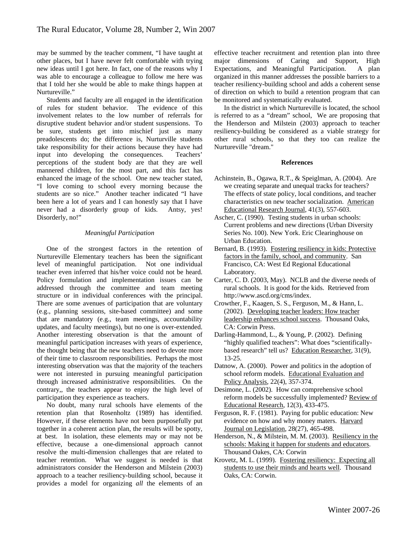may be summed by the teacher comment, "I have taught at other places, but I have never felt comfortable with trying new ideas until I got here. In fact, one of the reasons why I was able to encourage a colleague to follow me here was that I told her she would be able to make things happen at Nurtureville."

Students and faculty are all engaged in the identification of rules for student behavior. The evidence of this involvement relates to the low number of referrals for disruptive student behavior and/or student suspensions. To be sure, students get into mischief just as many preadolescents do; the difference is, Nurturville students take responsibility for their actions because they have had input into developing the consequences. Teachers' perceptions of the student body are that they are well mannered children, for the most part, and this fact has enhanced the image of the school. One new teacher stated, "I love coming to school every morning because the students are so nice." Another teacher indicated "I have been here a lot of years and I can honestly say that I have never had a disorderly group of kids. Antsy, yes! Disorderly, no!"

## *Meaningful Participation*

One of the strongest factors in the retention of Nurtureville Elementary teachers has been the significant level of meaningful participation. Not one individual teacher even inferred that his/her voice could not be heard. Policy formulation and implementation issues can be addressed through the committee and team meeting structure or in individual conferences with the principal. There are some avenues of participation that are voluntary (e.g., planning sessions, site-based committee) and some that are mandatory (e.g., team meetings, accountability updates, and faculty meetings), but no one is over-extended. Another interesting observation is that the amount of meaningful participation increases with years of experience, the thought being that the new teachers need to devote more of their time to classroom responsibilities. Perhaps the most interesting observation was that the majority of the teachers were not interested in pursuing meaningful participation through increased administrative responsibilities. On the contrary,, the teachers appear to enjoy the high level of participation they experience as teachers.

No doubt, many rural schools have elements of the retention plan that Rosenholtz (1989) has identified. However, if these elements have not been purposefully put together in a coherent action plan, the results will be spotty, at best. In isolation, these elements may or may not be effective, because a one-dimensional approach cannot resolve the multi-dimension challenges that are related to teacher retention. What we suggest is needed is that administrators consider the Henderson and Milstein (2003) approach to a teacher resiliency-building school, because it provides a model for organizing *all* the elements of an

effective teacher recruitment and retention plan into three major dimensions of Caring and Support, High Expectations, and Meaningful Participation. A plan organized in this manner addresses the possible barriers to a teacher resiliency-building school and adds a coherent sense of direction on which to build a retention program that can be monitored and systematically evaluated.

In the district in which Nurtureville is located, the school is referred to as a "dream" school, We are proposing that the Henderson and Milstein (2003) approach to teacher resiliency-building be considered as a viable strategy for other rural schools, so that they too can realize the Nurtureville "dream."

## **References**

- Achinstein, B., Ogawa, R.T., & Speiglman, A. (2004). Are we creating separate and unequal tracks for teachers? The effects of state policy, local conditions, and teacher characteristics on new teacher socialization. American Educational Research Journal, 41(3), 557-603.
- Ascher, C. (1990). Testing students in urban schools: Current problems and new directions (Urban Diversity Series No. 100). New York. Eric Clearinghouse on Urban Education.
- Bernard, B. (1993). Fostering resiliency in kids: Protective factors in the family, school, and community. San Francisco, CA: West Ed Regional Educational Laboratory.
- Carter, C. D. (2003, May). NCLB and the diverse needs of rural schools. It is good for the kids. Retrieved from http://www.ascd.org/cms/index.
- Crowther, F., Kaagen, S. S., Ferguson, M., & Hann, L. (2002). Developing teacher leaders: How teacher leadership enhances school success. Thousand Oaks, CA: Corwin Press.
- Darling-Hammond, L., & Young, P. (2002). Defining "highly qualified teachers": What does "scientificallybased research" tell us? Education Researcher, 31(9), 13-25.
- Datnow, A. (2000). Power and politics in the adoption of school reform models. Educational Evaluation and Policy Analysis, 22(4), 357-374.
- Desimone, L. (2002). How can comprehensive school reform models be successfully implemented? Review of Educational Research, 12(3), 433-475.
- Ferguson, R. F. (1981). Paying for public education: New evidence on how and why money maters. Harvard Journal on Legislation, 28(27), 465-498.
- Henderson, N., & Milstein, M. M. (2003). Resiliency in the schools: Making it happen for students and educators. Thousand Oakes, CA: Corwin
- Krovetz, M. L. (1999). Fostering resiliency: Expecting all students to use their minds and hearts well. Thousand Oaks, CA: Corwin.